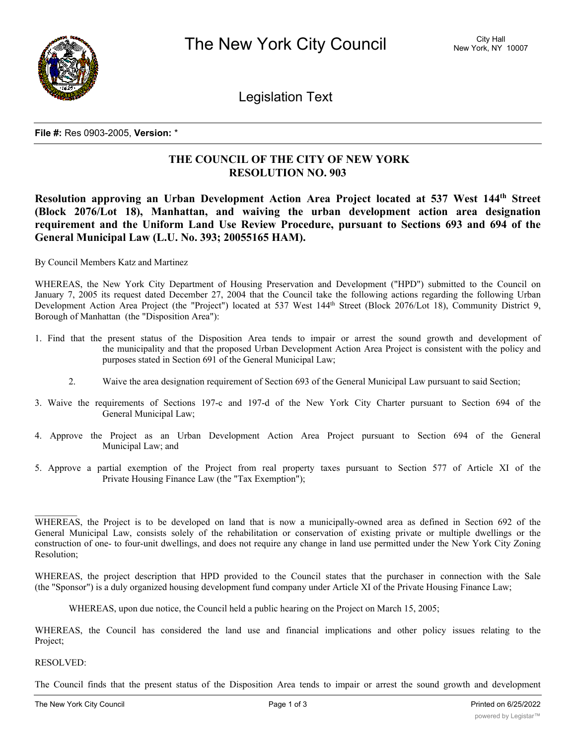

Legislation Text

**File #:** Res 0903-2005, **Version:** \*

## **THE COUNCIL OF THE CITY OF NEW YORK RESOLUTION NO. 903**

**Resolution approving an Urban Development Action Area Project located at 537 West 144th Street (Block 2076/Lot 18), Manhattan, and waiving the urban development action area designation requirement and the Uniform Land Use Review Procedure, pursuant to Sections 693 and 694 of the General Municipal Law (L.U. No. 393; 20055165 HAM).**

By Council Members Katz and Martinez

WHEREAS, the New York City Department of Housing Preservation and Development ("HPD") submitted to the Council on January 7, 2005 its request dated December 27, 2004 that the Council take the following actions regarding the following Urban Development Action Area Project (the "Project") located at 537 West 144<sup>th</sup> Street (Block 2076/Lot 18), Community District 9, Borough of Manhattan (the "Disposition Area"):

- 1. Find that the present status of the Disposition Area tends to impair or arrest the sound growth and development of the municipality and that the proposed Urban Development Action Area Project is consistent with the policy and purposes stated in Section 691 of the General Municipal Law;
	- 2. Waive the area designation requirement of Section 693 of the General Municipal Law pursuant to said Section;
- 3. Waive the requirements of Sections 197-c and 197-d of the New York City Charter pursuant to Section 694 of the General Municipal Law;
- 4. Approve the Project as an Urban Development Action Area Project pursuant to Section 694 of the General Municipal Law; and
- 5. Approve a partial exemption of the Project from real property taxes pursuant to Section 577 of Article XI of the Private Housing Finance Law (the "Tax Exemption");

WHEREAS, the Project is to be developed on land that is now a municipally-owned area as defined in Section 692 of the General Municipal Law, consists solely of the rehabilitation or conservation of existing private or multiple dwellings or the construction of one- to four-unit dwellings, and does not require any change in land use permitted under the New York City Zoning Resolution;

WHEREAS, the project description that HPD provided to the Council states that the purchaser in connection with the Sale (the "Sponsor") is a duly organized housing development fund company under Article XI of the Private Housing Finance Law;

WHEREAS, upon due notice, the Council held a public hearing on the Project on March 15, 2005;

WHEREAS, the Council has considered the land use and financial implications and other policy issues relating to the Project;

## RESOLVED:

 $\frac{1}{2}$ 

The Council finds that the present status of the Disposition Area tends to impair or arrest the sound growth and development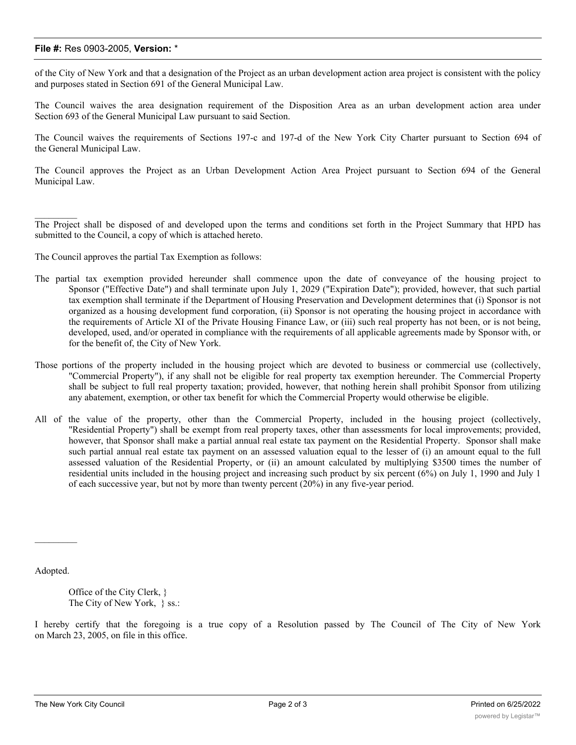## **File #:** Res 0903-2005, **Version:** \*

of the City of New York and that a designation of the Project as an urban development action area project is consistent with the policy and purposes stated in Section 691 of the General Municipal Law.

The Council waives the area designation requirement of the Disposition Area as an urban development action area under Section 693 of the General Municipal Law pursuant to said Section.

The Council waives the requirements of Sections 197-c and 197-d of the New York City Charter pursuant to Section 694 of the General Municipal Law.

The Council approves the Project as an Urban Development Action Area Project pursuant to Section 694 of the General Municipal Law.

The Project shall be disposed of and developed upon the terms and conditions set forth in the Project Summary that HPD has submitted to the Council, a copy of which is attached hereto.

The Council approves the partial Tax Exemption as follows:

- The partial tax exemption provided hereunder shall commence upon the date of conveyance of the housing project to Sponsor ("Effective Date") and shall terminate upon July 1, 2029 ("Expiration Date"); provided, however, that such partial tax exemption shall terminate if the Department of Housing Preservation and Development determines that (i) Sponsor is not organized as a housing development fund corporation, (ii) Sponsor is not operating the housing project in accordance with the requirements of Article XI of the Private Housing Finance Law, or (iii) such real property has not been, or is not being, developed, used, and/or operated in compliance with the requirements of all applicable agreements made by Sponsor with, or for the benefit of, the City of New York.
- Those portions of the property included in the housing project which are devoted to business or commercial use (collectively, "Commercial Property"), if any shall not be eligible for real property tax exemption hereunder. The Commercial Property shall be subject to full real property taxation; provided, however, that nothing herein shall prohibit Sponsor from utilizing any abatement, exemption, or other tax benefit for which the Commercial Property would otherwise be eligible.
- All of the value of the property, other than the Commercial Property, included in the housing project (collectively, "Residential Property") shall be exempt from real property taxes, other than assessments for local improvements; provided, however, that Sponsor shall make a partial annual real estate tax payment on the Residential Property. Sponsor shall make such partial annual real estate tax payment on an assessed valuation equal to the lesser of (i) an amount equal to the full assessed valuation of the Residential Property, or (ii) an amount calculated by multiplying \$3500 times the number of residential units included in the housing project and increasing such product by six percent (6%) on July 1, 1990 and July 1 of each successive year, but not by more than twenty percent (20%) in any five-year period.

Adopted.

 $\frac{1}{2}$ 

 $\frac{1}{2}$ 

Office of the City Clerk, } The City of New York, } ss.:

I hereby certify that the foregoing is a true copy of a Resolution passed by The Council of The City of New York on March 23, 2005, on file in this office.